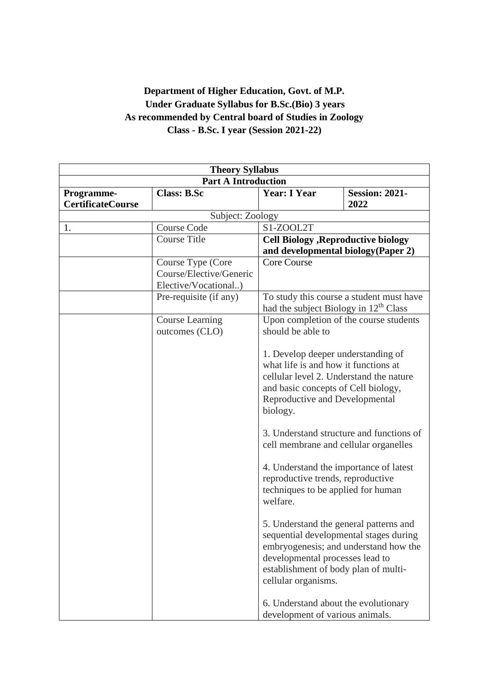# **Department of Higher Education, Govt. of M.P. Under Graduate Syllabus for B.Sc.(Bio) 3 years As recommended by Central board of Studies in Zoology Class - B.Sc. I year (Session 2021-22)**

| <b>Theory Syllabus</b>                 |                                                                      |                                                                                                                                                                                                                             |                                          |
|----------------------------------------|----------------------------------------------------------------------|-----------------------------------------------------------------------------------------------------------------------------------------------------------------------------------------------------------------------------|------------------------------------------|
| <b>Part A Introduction</b>             |                                                                      |                                                                                                                                                                                                                             |                                          |
| Programme-<br><b>CertificateCourse</b> | <b>Class: B.Sc</b>                                                   | <b>Year: I Year</b>                                                                                                                                                                                                         | <b>Session: 2021-</b><br>2022            |
|                                        | Subject: Zoology                                                     |                                                                                                                                                                                                                             |                                          |
| 1.                                     | <b>Course Code</b>                                                   | S1-ZOOL2T                                                                                                                                                                                                                   |                                          |
|                                        | <b>Course Title</b>                                                  | <b>Cell Biology , Reproductive biology</b>                                                                                                                                                                                  |                                          |
|                                        |                                                                      | and developmental biology (Paper 2)                                                                                                                                                                                         |                                          |
|                                        | Course Type (Core<br>Course/Elective/Generic<br>Elective/Vocational) | <b>Core Course</b>                                                                                                                                                                                                          |                                          |
|                                        | Pre-requisite (if any)                                               | To study this course a student must have<br>had the subject Biology in 12 <sup>th</sup> Class<br>Upon completion of the course students<br>should be able to                                                                |                                          |
|                                        | <b>Course Learning</b><br>outcomes (CLO)                             |                                                                                                                                                                                                                             |                                          |
|                                        |                                                                      | 1. Develop deeper understanding of<br>what life is and how it functions at<br>cellular level 2. Understand the nature<br>and basic concepts of Cell biology,<br>Reproductive and Developmental<br>biology.                  |                                          |
|                                        |                                                                      | cell membrane and cellular organelles                                                                                                                                                                                       | 3. Understand structure and functions of |
|                                        |                                                                      | 4. Understand the importance of latest<br>reproductive trends, reproductive<br>techniques to be applied for human<br>welfare.                                                                                               |                                          |
|                                        |                                                                      | 5. Understand the general patterns and<br>sequential developmental stages during<br>embryogenesis; and understand how the<br>developmental processes lead to<br>establishment of body plan of multi-<br>cellular organisms. |                                          |
|                                        |                                                                      | 6. Understand about the evolutionary<br>development of various animals.                                                                                                                                                     |                                          |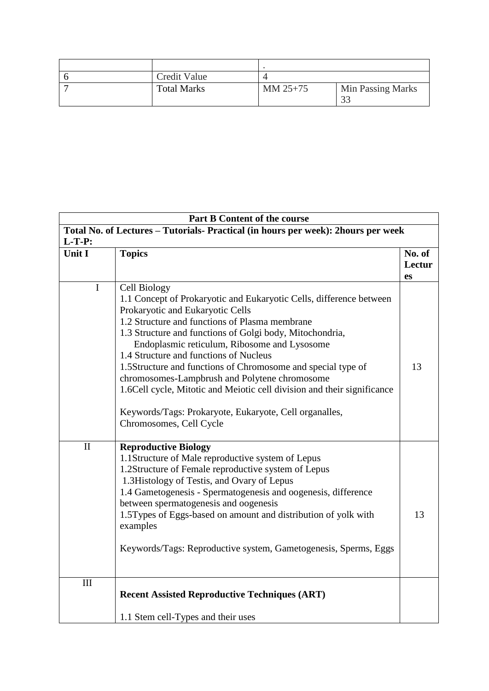| Credit Value       |            |                   |
|--------------------|------------|-------------------|
| <b>Total Marks</b> | $MM 25+75$ | Min Passing Marks |
|                    |            |                   |

| Part B Content of the course |                                                                                                                                                                                                                                                                                                                                                                                                                                                                                                                                                                                                                         |                        |  |
|------------------------------|-------------------------------------------------------------------------------------------------------------------------------------------------------------------------------------------------------------------------------------------------------------------------------------------------------------------------------------------------------------------------------------------------------------------------------------------------------------------------------------------------------------------------------------------------------------------------------------------------------------------------|------------------------|--|
| $L-T-P:$                     | Total No. of Lectures - Tutorials- Practical (in hours per week): 2hours per week                                                                                                                                                                                                                                                                                                                                                                                                                                                                                                                                       |                        |  |
| Unit I                       | <b>Topics</b>                                                                                                                                                                                                                                                                                                                                                                                                                                                                                                                                                                                                           | No. of<br>Lectur<br>es |  |
| $\mathbf{I}$                 | <b>Cell Biology</b><br>1.1 Concept of Prokaryotic and Eukaryotic Cells, difference between<br>Prokaryotic and Eukaryotic Cells<br>1.2 Structure and functions of Plasma membrane<br>1.3 Structure and functions of Golgi body, Mitochondria,<br>Endoplasmic reticulum, Ribosome and Lysosome<br>1.4 Structure and functions of Nucleus<br>1.5Structure and functions of Chromosome and special type of<br>chromosomes-Lampbrush and Polytene chromosome<br>1.6Cell cycle, Mitotic and Meiotic cell division and their significance<br>Keywords/Tags: Prokaryote, Eukaryote, Cell organalles,<br>Chromosomes, Cell Cycle | 13                     |  |
| $\mathbf{I}$                 | <b>Reproductive Biology</b><br>1.1Structure of Male reproductive system of Lepus<br>1.2Structure of Female reproductive system of Lepus<br>1.3 Histology of Testis, and Ovary of Lepus<br>1.4 Gametogenesis - Spermatogenesis and oogenesis, difference<br>between spermatogenesis and oogenesis<br>1.5Types of Eggs-based on amount and distribution of yolk with<br>examples<br>Keywords/Tags: Reproductive system, Gametogenesis, Sperms, Eggs                                                                                                                                                                       | 13                     |  |
| III                          | <b>Recent Assisted Reproductive Techniques (ART)</b><br>1.1 Stem cell-Types and their uses                                                                                                                                                                                                                                                                                                                                                                                                                                                                                                                              |                        |  |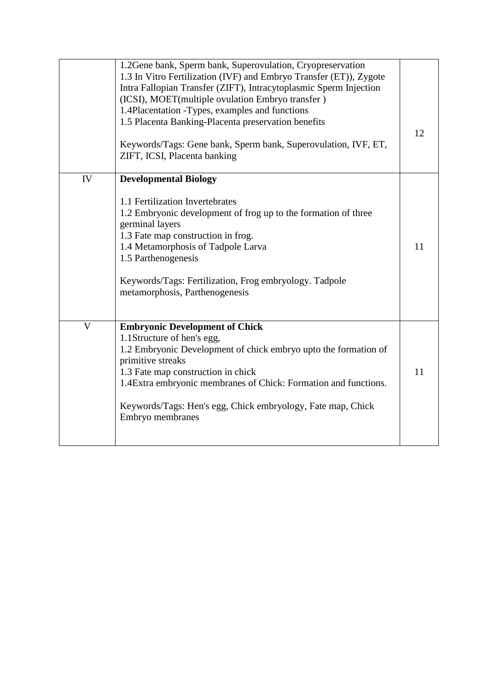|                         | 1.2Gene bank, Sperm bank, Superovulation, Cryopreservation         |    |
|-------------------------|--------------------------------------------------------------------|----|
|                         | 1.3 In Vitro Fertilization (IVF) and Embryo Transfer (ET)), Zygote |    |
|                         | Intra Fallopian Transfer (ZIFT), Intracytoplasmic Sperm Injection  |    |
|                         | (ICSI), MOET(multiple ovulation Embryo transfer)                   |    |
|                         | 1.4Placentation -Types, examples and functions                     |    |
|                         | 1.5 Placenta Banking-Placenta preservation benefits                |    |
|                         |                                                                    | 12 |
|                         | Keywords/Tags: Gene bank, Sperm bank, Superovulation, IVF, ET,     |    |
|                         | ZIFT, ICSI, Placenta banking                                       |    |
|                         |                                                                    |    |
| IV                      | <b>Developmental Biology</b>                                       |    |
|                         |                                                                    |    |
|                         | 1.1 Fertilization Invertebrates                                    |    |
|                         | 1.2 Embryonic development of frog up to the formation of three     |    |
|                         | germinal layers                                                    |    |
|                         | 1.3 Fate map construction in frog.                                 |    |
|                         | 1.4 Metamorphosis of Tadpole Larva                                 | 11 |
|                         | 1.5 Parthenogenesis                                                |    |
|                         |                                                                    |    |
|                         | Keywords/Tags: Fertilization, Frog embryology. Tadpole             |    |
|                         | metamorphosis, Parthenogenesis                                     |    |
|                         |                                                                    |    |
|                         |                                                                    |    |
| $\overline{\mathsf{V}}$ | <b>Embryonic Development of Chick</b>                              |    |
|                         | 1.1 Structure of hen's egg,                                        |    |
|                         | 1.2 Embryonic Development of chick embryo upto the formation of    |    |
|                         | primitive streaks                                                  |    |
|                         | 1.3 Fate map construction in chick                                 | 11 |
|                         | 1.4 Extra embryonic membranes of Chick: Formation and functions.   |    |
|                         |                                                                    |    |
|                         | Keywords/Tags: Hen's egg, Chick embryology, Fate map, Chick        |    |
|                         | Embryo membranes                                                   |    |
|                         |                                                                    |    |
|                         |                                                                    |    |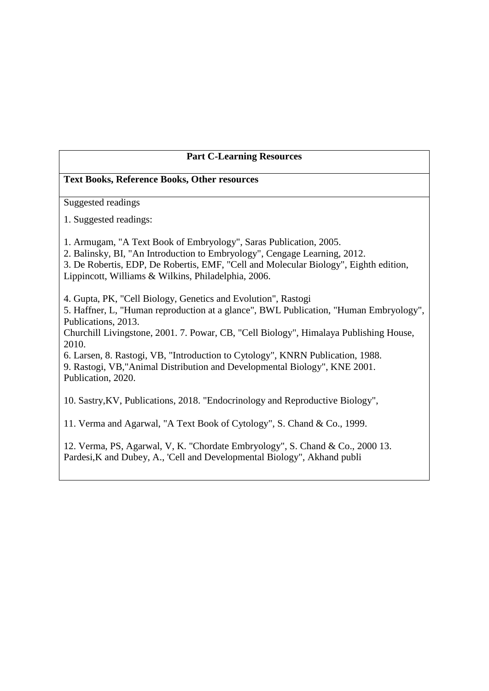### **Part C-Learning Resources**

#### **Text Books, Reference Books, Other resources**

Suggested readings

1. Suggested readings:

1. Armugam, "A Text Book of Embryology", Saras Publication, 2005.

2. Balinsky, BI, "An Introduction to Embryology", Cengage Learning, 2012.

3. De Robertis, EDP, De Robertis, EMF, "Cell and Molecular Biology", Eighth edition, Lippincott, Williams & Wilkins, Philadelphia, 2006.

4. Gupta, PK, "Cell Biology, Genetics and Evolution", Rastogi

5. Haffner, L, "Human reproduction at a glance", BWL Publication, "Human Embryology", Publications, 2013.

Churchill Livingstone, 2001. 7. Powar, CB, "Cell Biology", Himalaya Publishing House, 2010.

6. Larsen, 8. Rastogi, VB, "Introduction to Cytology", KNRN Publication, 1988. 9. Rastogi, VB,"Animal Distribution and Developmental Biology", KNE 2001. Publication, 2020.

10. Sastry,KV, Publications, 2018. "Endocrinology and Reproductive Biology",

11. Verma and Agarwal, "A Text Book of Cytology", S. Chand & Co., 1999.

12. Verma, PS, Agarwal, V, K. "Chordate Embryology", S. Chand & Co., 2000 13. Pardesi,K and Dubey, A., 'Cell and Developmental Biology", Akhand publi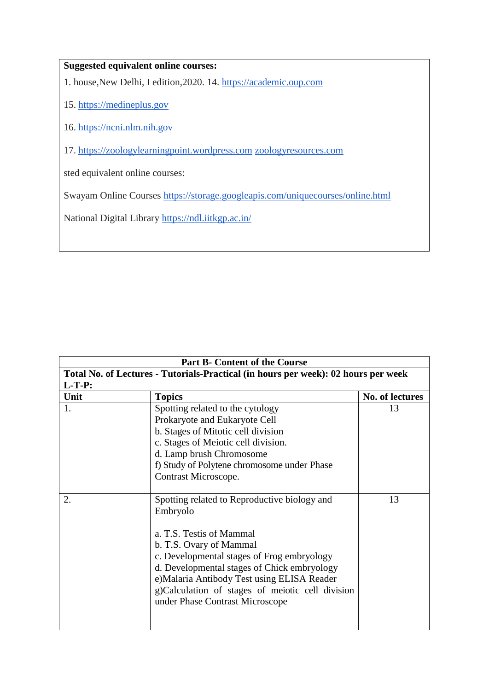### **Suggested equivalent online courses:**

1. house,New Delhi, I edition,2020. 14. [https://academic.oup.com](https://academic.oup.com/)

- 15. [https://medineplus.gov](https://medineplus.gov/)
- 16. [https://ncni.nlm.nih.gov](https://ncni.nlm.nih.gov/)
- 17. [https://zoologylearningpoint.wordpress.com](https://zoologylearningpoint.wordpress.com/) [zoologyresources.com](http://zoologyresources.com/)

sted equivalent online courses:

Swayam Online Courses <https://storage.googleapis.com/uniquecourses/online.html>

National Digital Library <https://ndl.iitkgp.ac.in/>

| <b>Part B- Content of the Course</b>                                               |                                                                                                                                                                                                                                                                                                                                                    |                 |  |
|------------------------------------------------------------------------------------|----------------------------------------------------------------------------------------------------------------------------------------------------------------------------------------------------------------------------------------------------------------------------------------------------------------------------------------------------|-----------------|--|
| Total No. of Lectures - Tutorials-Practical (in hours per week): 02 hours per week |                                                                                                                                                                                                                                                                                                                                                    |                 |  |
| $L-T-P:$                                                                           |                                                                                                                                                                                                                                                                                                                                                    |                 |  |
| Unit                                                                               | <b>Topics</b>                                                                                                                                                                                                                                                                                                                                      | No. of lectures |  |
|                                                                                    | Spotting related to the cytology<br>Prokaryote and Eukaryote Cell<br>b. Stages of Mitotic cell division<br>c. Stages of Meiotic cell division.<br>d. Lamp brush Chromosome<br>f) Study of Polytene chromosome under Phase<br>Contrast Microscope.                                                                                                  | 13              |  |
| 2.                                                                                 | Spotting related to Reproductive biology and<br>Embryolo<br>a. T.S. Testis of Mammal<br>b. T.S. Ovary of Mammal<br>c. Developmental stages of Frog embryology<br>d. Developmental stages of Chick embryology<br>e) Malaria Antibody Test using ELISA Reader<br>g)Calculation of stages of meiotic cell division<br>under Phase Contrast Microscope | 13              |  |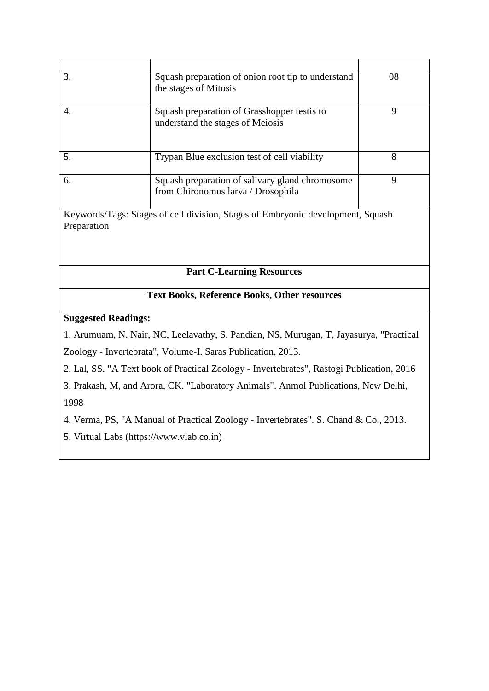| 3.                                                                              | Squash preparation of onion root tip to understand<br>the stages of Mitosis           | 08 |  |
|---------------------------------------------------------------------------------|---------------------------------------------------------------------------------------|----|--|
|                                                                                 |                                                                                       |    |  |
| 4.                                                                              | Squash preparation of Grasshopper test is to<br>understand the stages of Meiosis      | 9  |  |
| 5.                                                                              | Trypan Blue exclusion test of cell viability                                          | 8  |  |
| 6.                                                                              | Squash preparation of salivary gland chromosome<br>from Chironomus larva / Drosophila | 9  |  |
| Keywords/Tags: Stages of cell division, Stages of Embryonic development, Squash |                                                                                       |    |  |
| Preparation                                                                     |                                                                                       |    |  |
|                                                                                 |                                                                                       |    |  |

# **Part C-Learning Resources**

# **Text Books, Reference Books, Other resources**

### **Suggested Readings:**

1. Arumuam, N. Nair, NC, Leelavathy, S. Pandian, NS, Murugan, T, Jayasurya, "Practical Zoology - Invertebrata", Volume-I. Saras Publication, 2013.

2. Lal, SS. "A Text book of Practical Zoology - Invertebrates", Rastogi Publication, 2016

3. Prakash, M, and Arora, CK. "Laboratory Animals". Anmol Publications, New Delhi, 1998

4. Verma, PS, "A Manual of Practical Zoology - Invertebrates". S. Chand & Co., 2013.

5. Virtual Labs (https://www.vlab.co.in)